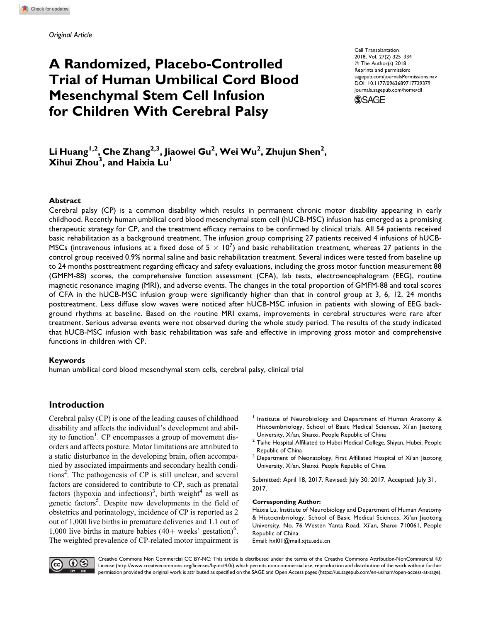# A Randomized, Placebo-Controlled Trial of Human Umbilical Cord Blood Mesenchymal Stem Cell Infusion for Children With Cerebral Palsy

Cell Transplantation 2018, Vol. 27(2) 325–334 © The Author(s) 2018 Reprints and permission: [sagepub.com/journalsPermissions.nav](https://us.sagepub.com/en-us/journals-permissions) [DOI: 10.1177/0963689717729379](https://doi.org/10.1177/0963689717729379) [journals.sagepub.com/home/cll](http://journals.sagepub.com/home/cll)



Li Huang<sup>I,2</sup>, Che Zhang<sup>2,3</sup>, Jiaowei Gu<sup>2</sup>, Wei Wu<sup>2</sup>, Zhujun Shen<sup>2</sup>, Xihui Zhou<sup>3</sup>, and Haixia Lu<sup>l</sup>

## Abstract

Cerebral palsy (CP) is a common disability which results in permanent chronic motor disability appearing in early childhood. Recently human umbilical cord blood mesenchymal stem cell (hUCB-MSC) infusion has emerged as a promising therapeutic strategy for CP, and the treatment efficacy remains to be confirmed by clinical trials. All 54 patients received basic rehabilitation as a background treatment. The infusion group comprising 27 patients received 4 infusions of hUCB-MSCs (intravenous infusions at a fixed dose of 5  $\times$  10<sup>7</sup>) and basic rehabilitation treatment, whereas 27 patients in the control group received 0.9% normal saline and basic rehabilitation treatment. Several indices were tested from baseline up to 24 months posttreatment regarding efficacy and safety evaluations, including the gross motor function measurement 88 (GMFM-88) scores, the comprehensive function assessment (CFA), lab tests, electroencephalogram (EEG), routine magnetic resonance imaging (MRI), and adverse events. The changes in the total proportion of GMFM-88 and total scores of CFA in the hUCB-MSC infusion group were significantly higher than that in control group at 3, 6, 12, 24 months posttreatment. Less diffuse slow waves were noticed after hUCB-MSC infusion in patients with slowing of EEG background rhythms at baseline. Based on the routine MRI exams, improvements in cerebral structures were rare after treatment. Serious adverse events were not observed during the whole study period. The results of the study indicated that hUCB-MSC infusion with basic rehabilitation was safe and effective in improving gross motor and comprehensive functions in children with CP.

## Keywords

human umbilical cord blood mesenchymal stem cells, cerebral palsy, clinical trial

# Introduction

Cerebral palsy (CP) is one of the leading causes of childhood disability and affects the individual's development and ability to function<sup>1</sup>. CP encompasses a group of movement disorders and affects posture. Motor limitations are attributed to a static disturbance in the developing brain, often accompanied by associated impairments and secondary health conditions<sup>2</sup>. The pathogenesis of CP is still unclear, and several factors are considered to contribute to CP, such as prenatal factors (hypoxia and infections)<sup>3</sup>, birth weight<sup>4</sup> as well as genetic factors<sup>5</sup>. Despite new developments in the field of obstetrics and perinatology, incidence of CP is reported as 2 out of 1,000 live births in premature deliveries and 1.1 out of 1,000 live births in mature babies  $(40+$  weeks' gestation)<sup>6</sup>. The weighted prevalence of CP-related motor impairment is

- Institute of Neurobiology and Department of Human Anatomy & Histoembriology, School of Basic Medical Sciences, Xi'an Jiaotong University, Xi'an, Shanxi, People Republic of China
- $2$  Taihe Hospital Affiliated to Hubei Medical College, Shiyan, Hubei, People Republic of China
- <sup>3</sup> Department of Neonatology, First Affiliated Hospital of Xi'an Jiaotong University, Xi'an, Shanxi, People Republic of China

Submitted: April 18, 2017. Revised: July 30, 2017. Accepted: July 31, 2017.

## Corresponding Author:

Haixia Lu, Institute of Neurobiology and Department of Human Anatomy & Histoembriology, School of Basic Medical Sciences, Xi'an Jiaotong University, No. 76 Westen Yanta Road, Xi'an, Shanxi 710061, People Republic of China. Email: hxl01@mail.xjtu.edu.cn



Creative Commons Non Commercial CC BY-NC: This article is distributed under the terms of the Creative Commons Attribution-NonCommercial 4.0 License (http://www.creativecommons.org/licenses/by-nc/4.0/) which permits non-commercial use, reproduction and distribution of the work without further permission provided the original work is attributed as specified on the SAGE and Open Access pages (https://us.sagepub.com/en-us/nam/open-access-at-sage).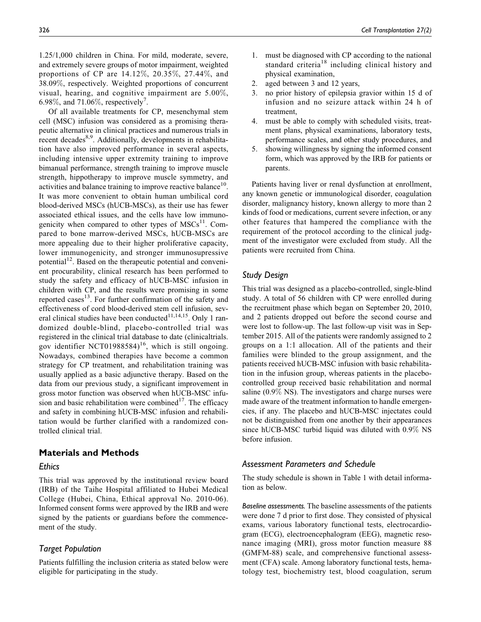1.25/1,000 children in China. For mild, moderate, severe, and extremely severe groups of motor impairment, weighted proportions of CP are 14.12%, 20.35%, 27.44%, and 38.09%, respectively. Weighted proportions of concurrent visual, hearing, and cognitive impairment are 5.00%, 6.98%, and 71.06%, respectively<sup>7</sup>.

Of all available treatments for CP, mesenchymal stem cell (MSC) infusion was considered as a promising therapeutic alternative in clinical practices and numerous trials in recent decades<sup>8,9</sup>. Additionally, developments in rehabilitation have also improved performance in several aspects, including intensive upper extremity training to improve bimanual performance, strength training to improve muscle strength, hippotherapy to improve muscle symmetry, and activities and balance training to improve reactive balance<sup>10</sup>. It was more convenient to obtain human umbilical cord blood-derived MSCs (hUCB-MSCs), as their use has fewer associated ethical issues, and the cells have low immunogenicity when compared to other types of  $MSCs<sup>11</sup>$ . Compared to bone marrow-derived MSCs, hUCB-MSCs are more appealing due to their higher proliferative capacity, lower immunogenicity, and stronger immunosupressive potential<sup>12</sup>. Based on the therapeutic potential and convenient procurability, clinical research has been performed to study the safety and efficacy of hUCB-MSC infusion in children with CP, and the results were promising in some reported cases<sup>13</sup>. For further confirmation of the safety and effectiveness of cord blood-derived stem cell infusion, several clinical studies have been conducted $11,14,15$ . Only 1 randomized double-blind, placebo-controlled trial was registered in the clinical trial database to date ([clinicaltrials.](http://clinicaltrials.gov) [gov](http://clinicaltrials.gov) identifier NCT01988584)<sup>16</sup>, which is still ongoing. Nowadays, combined therapies have become a common strategy for CP treatment, and rehabilitation training was usually applied as a basic adjunctive therapy. Based on the data from our previous study, a significant improvement in gross motor function was observed when hUCB-MSC infusion and basic rehabilitation were combined<sup>17</sup>. The efficacy and safety in combining hUCB-MSC infusion and rehabilitation would be further clarified with a randomized controlled clinical trial.

# Materials and Methods

## **Ethics**

This trial was approved by the institutional review board (IRB) of the Taihe Hospital affiliated to Hubei Medical College (Hubei, China, Ethical approval No. 2010-06). Informed consent forms were approved by the IRB and were signed by the patients or guardians before the commencement of the study.

# Target Population

Patients fulfilling the inclusion criteria as stated below were eligible for participating in the study.

- 1. must be diagnosed with CP according to the national standard criteria<sup>18</sup> including clinical history and physical examination,
- 2. aged between 3 and 12 years,
- 3. no prior history of epilepsia gravior within 15 d of infusion and no seizure attack within 24 h of treatment,
- 4. must be able to comply with scheduled visits, treatment plans, physical examinations, laboratory tests, performance scales, and other study procedures, and
- 5. showing willingness by signing the informed consent form, which was approved by the IRB for patients or parents.

Patients having liver or renal dysfunction at enrollment, any known genetic or immunological disorder, coagulation disorder, malignancy history, known allergy to more than 2 kinds of food or medications, current severe infection, or any other features that hampered the compliance with the requirement of the protocol according to the clinical judgment of the investigator were excluded from study. All the patients were recruited from China.

## Study Design

This trial was designed as a placebo-controlled, single-blind study. A total of 56 children with CP were enrolled during the recruitment phase which began on September 20, 2010, and 2 patients dropped out before the second course and were lost to follow-up. The last follow-up visit was in September 2015. All of the patients were randomly assigned to 2 groups on a 1:1 allocation. All of the patients and their families were blinded to the group assignment, and the patients received hUCB-MSC infusion with basic rehabilitation in the infusion group, whereas patients in the placebocontrolled group received basic rehabilitation and normal saline (0.9% NS). The investigators and charge nurses were made aware of the treatment information to handle emergencies, if any. The placebo and hUCB-MSC injectates could not be distinguished from one another by their appearances since hUCB-MSC turbid liquid was diluted with 0.9% NS before infusion.

## Assessment Parameters and Schedule

The study schedule is shown in Table 1 with detail information as below.

Baseline assessments. The baseline assessments of the patients were done 7 d prior to first dose. They consisted of physical exams, various laboratory functional tests, electrocardiogram (ECG), electroencephalogram (EEG), magnetic resonance imaging (MRI), gross motor function measure 88 (GMFM-88) scale, and comprehensive functional assessment (CFA) scale. Among laboratory functional tests, hematology test, biochemistry test, blood coagulation, serum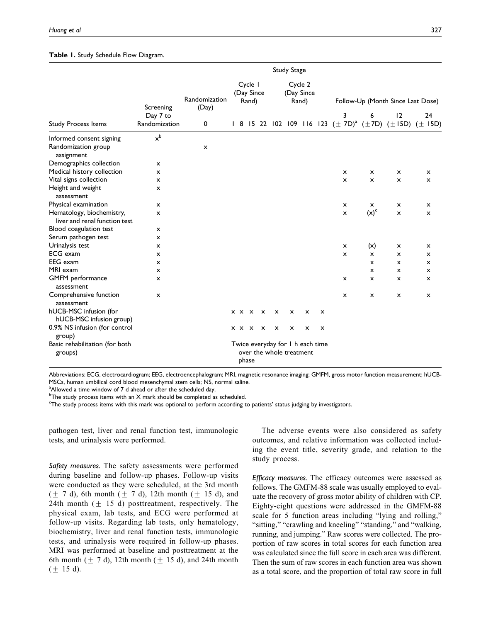#### Table 1. Study Schedule Flow Diagram.

|                                                               | <b>Study Stage</b>        |                        |                                |  |                       |                                |   |                           |                          |                                   |                                                                                |                           |                           |    |
|---------------------------------------------------------------|---------------------------|------------------------|--------------------------------|--|-----------------------|--------------------------------|---|---------------------------|--------------------------|-----------------------------------|--------------------------------------------------------------------------------|---------------------------|---------------------------|----|
|                                                               | Screening                 | Randomization<br>(Day) | Cycle I<br>(Day Since<br>Rand) |  |                       | Cycle 2<br>(Day Since<br>Rand) |   |                           |                          | Follow-Up (Month Since Last Dose) |                                                                                |                           |                           |    |
| <b>Study Process Items</b>                                    | Day 7 to<br>Randomization | 0                      |                                |  |                       |                                |   |                           |                          |                                   | 3<br>1 8 15 22 102 109 116 123 $(\pm 7D)^a$ $(\pm 7D)$ $(\pm 15D)$ $(\pm 15D)$ | 6                         | 12                        | 24 |
| Informed consent signing<br>Randomization group<br>assignment | $x^b$                     | x                      |                                |  |                       |                                |   |                           |                          |                                   |                                                                                |                           |                           |    |
| Demographics collection                                       | x                         |                        |                                |  |                       |                                |   |                           |                          |                                   |                                                                                |                           |                           |    |
| Medical history collection                                    | x                         |                        |                                |  |                       |                                |   |                           |                          |                                   | $\boldsymbol{\mathsf{x}}$                                                      | $\mathsf{x}$              | x                         | x  |
| Vital signs collection                                        | x                         |                        |                                |  |                       |                                |   |                           |                          |                                   | X                                                                              | $\mathsf{x}$              | $\mathsf{x}$              | x  |
| Height and weight<br>assessment                               | x                         |                        |                                |  |                       |                                |   |                           |                          |                                   |                                                                                |                           |                           |    |
| Physical examination                                          | x                         |                        |                                |  |                       |                                |   |                           |                          |                                   | $\boldsymbol{\mathsf{x}}$                                                      | x                         | $\boldsymbol{\mathsf{x}}$ | x  |
| Hematology, biochemistry,<br>liver and renal function test    | x                         |                        |                                |  |                       |                                |   |                           |                          |                                   | $\pmb{\times}$                                                                 | $(x)^c$                   | x                         | x  |
| Blood coagulation test                                        | x                         |                        |                                |  |                       |                                |   |                           |                          |                                   |                                                                                |                           |                           |    |
| Serum pathogen test                                           | x                         |                        |                                |  |                       |                                |   |                           |                          |                                   |                                                                                |                           |                           |    |
| Urinalysis test                                               | x                         |                        |                                |  |                       |                                |   |                           |                          |                                   | $\boldsymbol{\mathsf{x}}$                                                      | (x)                       | x                         | x  |
| <b>ECG</b> exam                                               | x                         |                        |                                |  |                       |                                |   |                           |                          |                                   | X                                                                              | $\mathsf{x}$              | $\mathsf{x}$              | x  |
| EEG exam                                                      | x                         |                        |                                |  |                       |                                |   |                           |                          |                                   |                                                                                | $\boldsymbol{\mathsf{x}}$ | $\mathsf{x}$              | x  |
| MRI exam                                                      | x                         |                        |                                |  |                       |                                |   |                           |                          |                                   |                                                                                | $\boldsymbol{\mathsf{x}}$ | $\mathsf{x}$              | x  |
| <b>GMFM</b> performance<br>assessment                         | x                         |                        |                                |  |                       |                                |   |                           |                          |                                   | x                                                                              | $\boldsymbol{\mathsf{x}}$ | $\boldsymbol{\mathsf{x}}$ | x  |
| Comprehensive function<br>assessment                          | x                         |                        |                                |  |                       |                                |   |                           |                          |                                   | $\boldsymbol{\mathsf{x}}$                                                      | x                         | x                         | x  |
| hUCB-MSC infusion (for<br>hUCB-MSC infusion group)            |                           |                        |                                |  | x x x                 | X                              | x | $\boldsymbol{\mathsf{x}}$ | x                        | X                                 |                                                                                |                           |                           |    |
| 0.9% NS infusion (for control<br>group)                       |                           |                        |                                |  | $x \times x \times x$ |                                | x | $\boldsymbol{\mathsf{x}}$ | x                        | x                                 |                                                                                |                           |                           |    |
| Basic rehabilitation (for both<br>groups)                     |                           |                        |                                |  | phase                 |                                |   |                           | over the whole treatment | Twice everyday for I h each time  |                                                                                |                           |                           |    |

Abbreviations: ECG, electrocardiogram; EEG, electroencephalogram; MRI, magnetic resonance imaging; GMFM, gross motor function measurement; hUCB-MSCs, human umbilical cord blood mesenchymal stem cells; NS, normal saline.

<sup>a</sup> Allowed a time window of 7 d ahead or after the scheduled day.

 $^{\rm b}$ The study process items with an X mark should be completed as scheduled.

c The study process items with this mark was optional to perform according to patients' status judging by investigators.

pathogen test, liver and renal function test, immunologic tests, and urinalysis were performed.

Safety measures. The safety assessments were performed during baseline and follow-up phases. Follow-up visits were conducted as they were scheduled, at the 3rd month  $(\pm 7 \text{ d})$ , 6th month  $(\pm 7 \text{ d})$ , 12th month  $(\pm 15 \text{ d})$ , and 24th month  $(\pm 15 \text{ d})$  posttreatment, respectively. The physical exam, lab tests, and ECG were performed at follow-up visits. Regarding lab tests, only hematology, biochemistry, liver and renal function tests, immunologic tests, and urinalysis were required in follow-up phases. MRI was performed at baseline and posttreatment at the 6th month  $(\pm 7 \text{ d})$ , 12th month  $(\pm 15 \text{ d})$ , and 24th month  $(\pm 15 \text{ d}).$ 

The adverse events were also considered as safety outcomes, and relative information was collected including the event title, severity grade, and relation to the study process.

Efficacy measures. The efficacy outcomes were assessed as follows. The GMFM-88 scale was usually employed to evaluate the recovery of gross motor ability of children with CP. Eighty-eight questions were addressed in the GMFM-88 scale for 5 function areas including "lying and rolling," "sitting," "crawling and kneeling" "standing," and "walking, running, and jumping." Raw scores were collected. The proportion of raw scores in total scores for each function area was calculated since the full score in each area was different. Then the sum of raw scores in each function area was shown as a total score, and the proportion of total raw score in full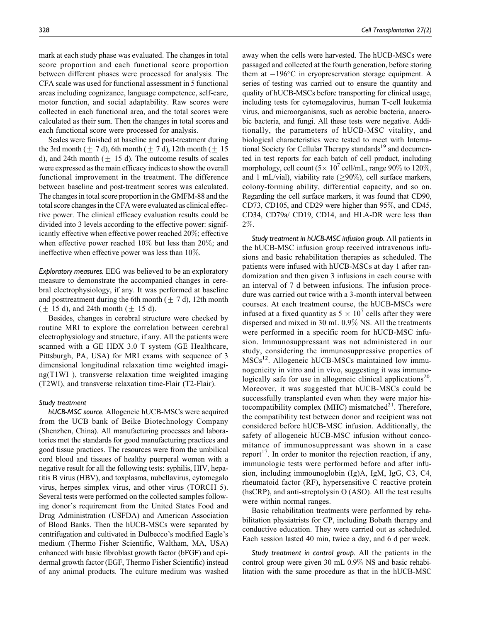mark at each study phase was evaluated. The changes in total score proportion and each functional score proportion between different phases were processed for analysis. The CFA scale was used for functional assessment in 5 functional areas including cognizance, language competence, self-care, motor function, and social adaptability. Raw scores were collected in each functional area, and the total scores were calculated as their sum. Then the changes in total scores and each functional score were processed for analysis.

Scales were finished at baseline and post-treatment during the 3rd month  $(\pm 7 \text{ d})$ , 6th month  $(\pm 7 \text{ d})$ , 12th month  $(\pm 15$ d), and 24th month  $(\pm 15$  d). The outcome results of scales were expressed as the main efficacy indices to show the overall functional improvement in the treatment. The difference between baseline and post-treatment scores was calculated. The changes in total score proportion in the GMFM-88 and the total score changes in the CFA were evaluated as clinical effective power. The clinical efficacy evaluation results could be divided into 3 levels according to the effective power: significantly effective when effective power reached 20%; effective when effective power reached 10% but less than 20%; and ineffective when effective power was less than 10%.

Exploratory measures. EEG was believed to be an exploratory measure to demonstrate the accompanied changes in cerebral electrophysiology, if any. It was performed at baseline and posttreatment during the 6th month  $(\pm 7 \text{ d})$ , 12th month  $(\pm 15 \text{ d})$ , and 24th month  $(\pm 15 \text{ d})$ .

Besides, changes in cerebral structure were checked by routine MRI to explore the correlation between cerebral electrophysiology and structure, if any. All the patients were scanned with a GE HDX 3.0 T system (GE Healthcare, Pittsburgh, PA, USA) for MRI exams with sequence of 3 dimensional longitudinal relaxation time weighted imaging(T1WI ), transverse relaxation time weighted imaging (T2WI), and transverse relaxation time-Flair (T2-Flair).

#### Study treatment

hUCB-MSC source. Allogeneic hUCB-MSCs were acquired from the UCB bank of Beike Biotechnology Company (Shenzhen, China). All manufacturing processes and laboratories met the standards for good manufacturing practices and good tissue practices. The resources were from the umbilical cord blood and tissues of healthy puerperal women with a negative result for all the following tests: syphilis, HIV, hepatitis B virus (HBV), and toxplasma, nubellavirus, cytomegalo virus, herpes simplex virus, and other virus (TORCH 5). Several tests were performed on the collected samples following donor's requirement from the United States Food and Drug Administration (USFDA) and American Association of Blood Banks. Then the hUCB-MSCs were separated by centrifugation and cultivated in Dulbecco's modified Eagle's medium (Thermo Fisher Scientific, Waltham, MA, USA) enhanced with basic fibroblast growth factor (bFGF) and epidermal growth factor (EGF, Thermo Fisher Scientific) instead of any animal products. The culture medium was washed away when the cells were harvested. The hUCB-MSCs were passaged and collected at the fourth generation, before storing them at  $-196^{\circ}$ C in cryopreservation storage equipment. A series of testing was carried out to ensure the quantity and quality of hUCB-MSCs before transporting for clinical usage, including tests for cytomegalovirus, human T-cell leukemia virus, and microorganisms, such as aerobic bacteria, anaerobic bacteria, and fungi. All these tests were negative. Additionally, the parameters of hUCB-MSC vitality, and biological characteristics were tested to meet with International Society for Cellular Therapy standards<sup>19</sup> and documented in test reports for each batch of cell product, including morphology, cell count  $(5 \times 10^7 \text{ cell/mL})$ , range 90% to 120%, and 1 mL/vial), viability rate ( $\geq$ 90%), cell surface markers, colony-forming ability, differential capacity, and so on. Regarding the cell surface markers, it was found that CD90, CD73, CD105, and CD29 were higher than 95%, and CD45, CD34, CD79a/ CD19, CD14, and HLA-DR were less than 2%.

Study treatment in hUCB-MSC infusion group. All patients in the hUCB-MSC infusion group received intravenous infusions and basic rehabilitation therapies as scheduled. The patients were infused with hUCB-MSCs at day 1 after randomization and then given 3 infusions in each course with an interval of 7 d between infusions. The infusion procedure was carried out twice with a 3-month interval between courses. At each treatment course, the hUCB-MSCs were infused at a fixed quantity as  $5 \times 10^7$  cells after they were dispersed and mixed in 30 mL 0.9% NS. All the treatments were performed in a specific room for hUCB-MSC infusion. Immunosuppressant was not administered in our study, considering the immunosuppressive properties of  $MSCs<sup>12</sup>$ . Allogeneic hUCB-MSCs maintained low immunogenicity in vitro and in vivo, suggesting it was immunologically safe for use in allogeneic clinical applications<sup>20</sup>. Moreover, it was suggested that hUCB-MSCs could be successfully transplanted even when they were major histocompatibility complex (MHC) mismatched $^{21}$ . Therefore, the compatibility test between donor and recipient was not considered before hUCB-MSC infusion. Additionally, the safety of allogeneic hUCB-MSC infusion without concomitance of immunosuppressant was shown in a case report<sup>17</sup>. In order to monitor the rejection reaction, if any, immunologic tests were performed before and after infusion, including immounoglobin (Ig)A, IgM, IgG, C3, C4, rheumatoid factor (RF), hypersensitive C reactive protein (hsCRP), and anti-streptolysin O (ASO). All the test results were within normal ranges.

Basic rehabilitation treatments were performed by rehabilitation physiatrists for CP, including Bobath therapy and conductive education. They were carried out as scheduled. Each session lasted 40 min, twice a day, and 6 d per week.

Study treatment in control group. All the patients in the control group were given 30 mL 0.9% NS and basic rehabilitation with the same procedure as that in the hUCB-MSC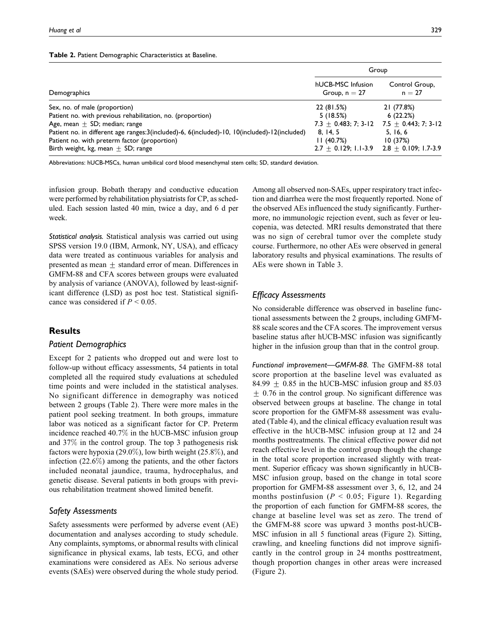#### Table 2. Patient Demographic Characteristics at Baseline.

|                                                                                                                                                                                                                                                                                                                            |                                                                             | Group                                                                                                                           |
|----------------------------------------------------------------------------------------------------------------------------------------------------------------------------------------------------------------------------------------------------------------------------------------------------------------------------|-----------------------------------------------------------------------------|---------------------------------------------------------------------------------------------------------------------------------|
| Demographics                                                                                                                                                                                                                                                                                                               | hUCB-MSC Infusion<br>Group, $n = 27$                                        | Control Group,<br>$n = 27$                                                                                                      |
| Sex, no. of male (proportion)<br>Patient no. with previous rehabilitation, no. (proportion)<br>Age, mean $\pm$ SD; median; range<br>Patient no. in different age ranges:3(included)-6, 6(included)-10, 10(included)-12(included)<br>Patient no. with preterm factor (proportion)<br>Birth weight, kg, mean $\pm$ SD; range | 22 (81.5%)<br>5(18.5%)<br>$7.3 \pm 0.483; 7; 3-12$<br>8, 14, 5<br>11(40.7%) | 21 (77.8%)<br>6(22.2%)<br>7.5 $\pm$ 0.443; 7; 3-12<br>5, 16, 6<br>10(37%)<br>$2.7 \pm 0.129$ ; 1.1-3.9 2.8 $\pm$ 0.109; 1.7-3.9 |

Abbreviations: hUCB-MSCs, human umbilical cord blood mesenchymal stem cells; SD, standard deviation.

infusion group. Bobath therapy and conductive education were performed by rehabilitation physiatrists for CP, as scheduled. Each session lasted 40 min, twice a day, and 6 d per week.

Statistical analysis. Statistical analysis was carried out using SPSS version 19.0 (IBM, Armonk, NY, USA), and efficacy data were treated as continuous variables for analysis and presented as mean  $\pm$  standard error of mean. Differences in GMFM-88 and CFA scores between groups were evaluated by analysis of variance (ANOVA), followed by least-significant difference (LSD) as post hoc test. Statistical significance was considered if  $P \le 0.05$ .

## **Results**

## Patient Demographics

Except for 2 patients who dropped out and were lost to follow-up without efficacy assessments, 54 patients in total completed all the required study evaluations at scheduled time points and were included in the statistical analyses. No significant difference in demography was noticed between 2 groups (Table 2). There were more males in the patient pool seeking treatment. In both groups, immature labor was noticed as a significant factor for CP. Preterm incidence reached 40.7% in the hUCB-MSC infusion group and 37% in the control group. The top 3 pathogenesis risk factors were hypoxia (29.0%), low birth weight (25.8%), and infection (22.6%) among the patients, and the other factors included neonatal jaundice, trauma, hydrocephalus, and genetic disease. Several patients in both groups with previous rehabilitation treatment showed limited benefit.

## Safety Assessments

Safety assessments were performed by adverse event (AE) documentation and analyses according to study schedule. Any complaints, symptoms, or abnormal results with clinical significance in physical exams, lab tests, ECG, and other examinations were considered as AEs. No serious adverse events (SAEs) were observed during the whole study period.

Among all observed non-SAEs, upper respiratory tract infection and diarrhea were the most frequently reported. None of the observed AEs influenced the study significantly. Furthermore, no immunologic rejection event, such as fever or leucopenia, was detected. MRI results demonstrated that there was no sign of cerebral tumor over the complete study course. Furthermore, no other AEs were observed in general laboratory results and physical examinations. The results of AEs were shown in Table 3.

# Efficacy Assessments

No considerable difference was observed in baseline functional assessments between the 2 groups, including GMFM-88 scale scores and the CFA scores. The improvement versus baseline status after hUCB-MSC infusion was significantly higher in the infusion group than that in the control group.

Functional improvement—GMFM-88. The GMFM-88 total score proportion at the baseline level was evaluated as 84.99  $\pm$  0.85 in the hUCB-MSC infusion group and 85.03  $\pm$  0.76 in the control group. No significant difference was observed between groups at baseline. The change in total score proportion for the GMFM-88 assessment was evaluated (Table 4), and the clinical efficacy evaluation result was effective in the hUCB-MSC infusion group at 12 and 24 months posttreatments. The clinical effective power did not reach effective level in the control group though the change in the total score proportion increased slightly with treatment. Superior efficacy was shown significantly in hUCB-MSC infusion group, based on the change in total score proportion for GMFM-88 assessment over 3, 6, 12, and 24 months postinfusion ( $P < 0.05$ ; Figure 1). Regarding the proportion of each function for GMFM-88 scores, the change at baseline level was set as zero. The trend of the GMFM-88 score was upward 3 months post-hUCB-MSC infusion in all 5 functional areas (Figure 2). Sitting, crawling, and kneeling functions did not improve significantly in the control group in 24 months posttreatment, though proportion changes in other areas were increased (Figure 2).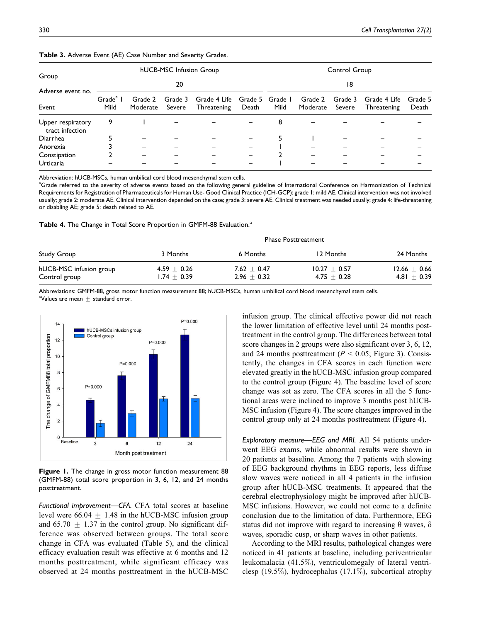|                                      |                              |                     | hUCB-MSC Infusion Group | Control Group               |                          |      |                     |                   |                             |                  |  |  |
|--------------------------------------|------------------------------|---------------------|-------------------------|-----------------------------|--------------------------|------|---------------------|-------------------|-----------------------------|------------------|--|--|
| Group<br>Adverse event no.           | 20                           |                     |                         |                             |                          |      | 18                  |                   |                             |                  |  |  |
| Event                                | Grade <sup>a</sup> I<br>Mild | Grade 2<br>Moderate | Grade 3<br>Severe       | Grade 4 Life<br>Threatening | Grade 5 Grade I<br>Death | Mild | Grade 2<br>Moderate | Grade 3<br>Severe | Grade 4 Life<br>Threatening | Grade 5<br>Death |  |  |
| Upper respiratory<br>tract infection | 9                            |                     |                         |                             |                          | 8    |                     |                   |                             |                  |  |  |
| Diarrhea                             |                              |                     |                         |                             |                          |      |                     |                   |                             |                  |  |  |
| Anorexia                             |                              |                     |                         |                             |                          |      |                     |                   |                             |                  |  |  |
| Constipation                         |                              |                     |                         |                             |                          |      |                     |                   |                             |                  |  |  |
| Urticaria                            |                              |                     |                         |                             |                          |      |                     |                   |                             |                  |  |  |

Abbreviation: hUCB-MSCs, human umbilical cord blood mesenchymal stem cells.

<sup>a</sup>Grade referred to the severity of adverse events based on the following general guideline of International Conference on Harmonization of Technical Requirements for Registration of Pharmaceuticals for Human Use- Good Clinical Practice (ICH-GCP): grade 1: mild AE. Clinical intervention was not involved usually; grade 2: moderate AE. Clinical intervention depended on the case; grade 3: severe AE. Clinical treatment was needed usually; grade 4: life-threatening or disabling AE; grade 5: death related to AE.

Table 4. The Change in Total Score Proportion in GMFM-88 Evaluation.<sup>a</sup>

|                                          |                                | <b>Phase Posttreatment</b>       |                                 |                                   |  |  |  |  |  |
|------------------------------------------|--------------------------------|----------------------------------|---------------------------------|-----------------------------------|--|--|--|--|--|
| Study Group                              | 3 Months                       | 6 Months                         | 12 Months                       | 24 Months                         |  |  |  |  |  |
| hUCB-MSC infusion group<br>Control group | $4.59 + 0.26$<br>$1.74 + 0.39$ | 7.62 $\pm$ 0.47<br>$2.96 + 0.32$ | $10.27 + 0.57$<br>$4.75 + 0.28$ | $12.66 \pm 0.66$<br>$4.81 + 0.39$ |  |  |  |  |  |

Abbreviations: GMFM-88, gross motor function measurement 88; hUCB-MSCs, human umbilical cord blood mesenchymal stem cells. <sup>a</sup>Values are mean  $\pm$  standard error.



Figure 1. The change in gross motor function measurement 88 (GMFM-88) total score proportion in 3, 6, 12, and 24 months posttreatment.

Functional improvement—CFA. CFA total scores at baseline level were 66.04  $\pm$  1.48 in the hUCB-MSC infusion group and 65.70  $\pm$  1.37 in the control group. No significant difference was observed between groups. The total score change in CFA was evaluated (Table 5), and the clinical efficacy evaluation result was effective at 6 months and 12 months posttreatment, while significant efficacy was observed at 24 months posttreatment in the hUCB-MSC infusion group. The clinical effective power did not reach the lower limitation of effective level until 24 months posttreatment in the control group. The differences between total score changes in 2 groups were also significant over 3, 6, 12, and 24 months posttreatment ( $P < 0.05$ ; Figure 3). Consistently, the changes in CFA scores in each function were elevated greatly in the hUCB-MSC infusion group compared to the control group (Figure 4). The baseline level of score change was set as zero. The CFA scores in all the 5 functional areas were inclined to improve 3 months post hUCB-MSC infusion (Figure 4). The score changes improved in the control group only at 24 months posttreatment (Figure 4).

Exploratory measure—EEG and MRI. All 54 patients underwent EEG exams, while abnormal results were shown in 20 patients at baseline. Among the 7 patients with slowing of EEG background rhythms in EEG reports, less diffuse slow waves were noticed in all 4 patients in the infusion group after hUCB-MSC treatments. It appeared that the cerebral electrophysiology might be improved after hUCB-MSC infusions. However, we could not come to a definite conclusion due to the limitation of data. Furthermore, EEG status did not improve with regard to increasing  $\theta$  waves,  $\delta$ waves, sporadic cusp, or sharp waves in other patients.

According to the MRI results, pathological changes were noticed in 41 patients at baseline, including periventricular leukomalacia (41.5%), ventriculomegaly of lateral ventriclesp (19.5%), hydrocephalus (17.1%), subcortical atrophy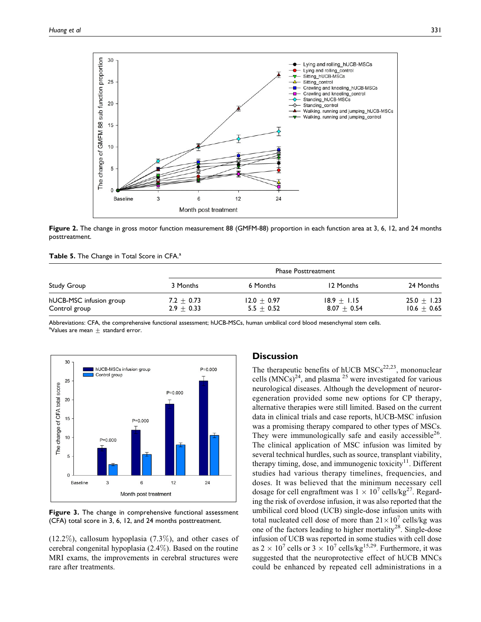

Figure 2. The change in gross motor function measurement 88 (GMFM-88) proportion in each function area at 3, 6, 12, and 24 months posttreatment.

|  | Table 5. The Change in Total Score in CFA. <sup>a</sup> |  |  |  |  |  |  |  |
|--|---------------------------------------------------------|--|--|--|--|--|--|--|
|--|---------------------------------------------------------|--|--|--|--|--|--|--|

|                                          |                              | <b>Phase Posttreatment</b>    |                                |                                |  |  |  |  |  |
|------------------------------------------|------------------------------|-------------------------------|--------------------------------|--------------------------------|--|--|--|--|--|
| Study Group                              | 3 Months                     | 6 Months                      | 12 Months                      | 24 Months                      |  |  |  |  |  |
| hUCB-MSC infusion group<br>Control group | $7.2 + 0.73$<br>$2.9 + 0.33$ | $12.0 + 0.97$<br>$5.5 + 0.52$ | $18.9 + 1.15$<br>$8.07 + 0.54$ | $25.0 + 1.23$<br>$10.6 + 0.65$ |  |  |  |  |  |

Abbreviations: CFA, the comprehensive functional assessment; hUCB-MSCs, human umbilical cord blood mesenchymal stem cells. <sup>a</sup>Values are mean  $\pm$  standard error.



Figure 3. The change in comprehensive functional assessment (CFA) total score in 3, 6, 12, and 24 months posttreatment.

 $(12.2\%)$ , callosum hypoplasia  $(7.3\%)$ , and other cases of cerebral congenital hypoplasia (2.4%). Based on the routine MRI exams, the improvements in cerebral structures were rare after treatments.

## **Discussion**

The therapeutic benefits of hUCB  $MSCs^{22,23}$ , mononuclear cells  $(MNCs)^{24}$ , and plasma <sup>25</sup> were investigated for various neurological diseases. Although the development of neuroregeneration provided some new options for CP therapy, alternative therapies were still limited. Based on the current data in clinical trials and case reports, hUCB-MSC infusion was a promising therapy compared to other types of MSCs. They were immunologically safe and easily accessible<sup>26</sup>. The clinical application of MSC infusion was limited by several technical hurdles, such as source, transplant viability, therapy timing, dose, and immunogenic toxicity $11$ . Different studies had various therapy timelines, frequencies, and doses. It was believed that the minimum necessary cell dosage for cell engraftment was  $1 \times 10^7$  cells/kg<sup>27</sup>. Regarding the risk of overdose infusion, it was also reported that the umbilical cord blood (UCB) single-dose infusion units with total nucleated cell dose of more than  $21 \times 10^7$  cells/kg was one of the factors leading to higher mortality<sup>28</sup>. Single-dose infusion of UCB was reported in some studies with cell dose as  $2 \times 10^7$  cells or  $3 \times 10^7$  cells/kg<sup>15,29</sup>. Furthermore, it was suggested that the neuroprotective effect of hUCB MNCs could be enhanced by repeated cell administrations in a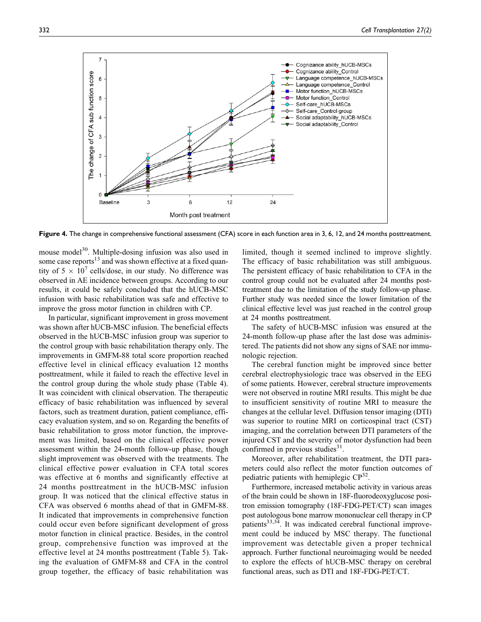

Figure 4. The change in comprehensive functional assessment (CFA) score in each function area in 3, 6, 12, and 24 months posttreatment.

mouse model<sup>30</sup>. Multiple-dosing infusion was also used in some case reports $13$  and was shown effective at a fixed quantity of  $5 \times 10^7$  cells/dose, in our study. No difference was observed in AE incidence between groups. According to our results, it could be safely concluded that the hUCB-MSC infusion with basic rehabilitation was safe and effective to improve the gross motor function in children with CP.

In particular, significant improvement in gross movement was shown after hUCB-MSC infusion. The beneficial effects observed in the hUCB-MSC infusion group was superior to the control group with basic rehabilitation therapy only. The improvements in GMFM-88 total score proportion reached effective level in clinical efficacy evaluation 12 months posttreatment, while it failed to reach the effective level in the control group during the whole study phase (Table 4). It was coincident with clinical observation. The therapeutic efficacy of basic rehabilitation was influenced by several factors, such as treatment duration, patient compliance, efficacy evaluation system, and so on. Regarding the benefits of basic rehabilitation to gross motor function, the improvement was limited, based on the clinical effective power assessment within the 24-month follow-up phase, though slight improvement was observed with the treatments. The clinical effective power evaluation in CFA total scores was effective at 6 months and significantly effective at 24 months posttreatment in the hUCB-MSC infusion group. It was noticed that the clinical effective status in CFA was observed 6 months ahead of that in GMFM-88. It indicated that improvements in comprehensive function could occur even before significant development of gross motor function in clinical practice. Besides, in the control group, comprehensive function was improved at the effective level at 24 months posttreatment (Table 5). Taking the evaluation of GMFM-88 and CFA in the control group together, the efficacy of basic rehabilitation was limited, though it seemed inclined to improve slightly. The efficacy of basic rehabilitation was still ambiguous. The persistent efficacy of basic rehabilitation to CFA in the control group could not be evaluated after 24 months posttreatment due to the limitation of the study follow-up phase. Further study was needed since the lower limitation of the clinical effective level was just reached in the control group at 24 months posttreatment.

The safety of hUCB-MSC infusion was ensured at the 24-month follow-up phase after the last dose was administered. The patients did not show any signs of SAE nor immunologic rejection.

The cerebral function might be improved since better cerebral electrophysiologic trace was observed in the EEG of some patients. However, cerebral structure improvements were not observed in routine MRI results. This might be due to insufficient sensitivity of routine MRI to measure the changes at the cellular level. Diffusion tensor imaging (DTI) was superior to routine MRI on corticospinal tract (CST) imaging, and the correlation between DTI parameters of the injured CST and the severity of motor dysfunction had been confirmed in previous studies $3<sup>1</sup>$ .

Moreover, after rehabilitation treatment, the DTI parameters could also reflect the motor function outcomes of pediatric patients with hemiplegic  $CP^{32}$ .

Furthermore, increased metabolic activity in various areas of the brain could be shown in 18F-fluorodeoxyglucose positron emission tomography (18F-FDG-PET/CT) scan images post autologous bone marrow mononuclear cell therapy in CP patients<sup>33,34</sup>. It was indicated cerebral functional improvement could be induced by MSC therapy. The functional improvement was detectable given a proper technical approach. Further functional neuroimaging would be needed to explore the effects of hUCB-MSC therapy on cerebral functional areas, such as DTI and 18F-FDG-PET/CT.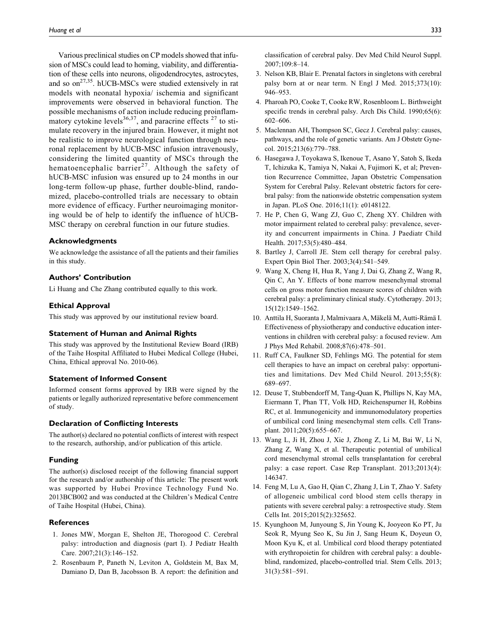Various preclinical studies on CP models showed that infusion of MSCs could lead to homing, viability, and differentiation of these cells into neurons, oligodendrocytes, astrocytes, and so  $\text{on}^{27,35}$ . hUCB-MSCs were studied extensively in rat models with neonatal hypoxia/ ischemia and significant improvements were observed in behavioral function. The possible mechanisms of action include reducing proinflammatory cytokine levels<sup>36,37</sup>, and paracrine effects  $27$  to stimulate recovery in the injured brain. However, it might not be realistic to improve neurological function through neuronal replacement by hUCB-MSC infusion intravenously, considering the limited quantity of MSCs through the hematoencephalic barrier<sup>27</sup>. Although the safety of hUCB-MSC infusion was ensured up to 24 months in our long-term follow-up phase, further double-blind, randomized, placebo-controlled trials are necessary to obtain more evidence of efficacy. Further neuroimaging monitoring would be of help to identify the influence of hUCB-MSC therapy on cerebral function in our future studies.

#### Acknowledgments

We acknowledge the assistance of all the patients and their families in this study.

## Authors' Contribution

Li Huang and Che Zhang contributed equally to this work.

#### Ethical Approval

This study was approved by our institutional review board.

#### Statement of Human and Animal Rights

This study was approved by the Institutional Review Board (IRB) of the Taihe Hospital Affiliated to Hubei Medical College (Hubei, China, Ethical approval No. 2010-06).

#### Statement of Informed Consent

Informed consent forms approved by IRB were signed by the patients or legally authorized representative before commencement of study.

#### Declaration of Conflicting Interests

The author(s) declared no potential conflicts of interest with respect to the research, authorship, and/or publication of this article.

## Funding

The author(s) disclosed receipt of the following financial support for the research and/or authorship of this article: The present work was supported by Hubei Province Technology Fund No. 2013BCB002 and was conducted at the Children's Medical Centre of Taihe Hospital (Hubei, China).

#### **References**

- 1. Jones MW, Morgan E, Shelton JE, Thorogood C. Cerebral palsy: introduction and diagnosis (part I). J Pediatr Health Care. 2007;21(3):146–152.
- 2. Rosenbaum P, Paneth N, Leviton A, Goldstein M, Bax M, Damiano D, Dan B, Jacobsson B. A report: the definition and

classification of cerebral palsy. Dev Med Child Neurol Suppl. 2007;109:8–14.

- 3. Nelson KB, Blair E. Prenatal factors in singletons with cerebral palsy born at or near term. N Engl J Med. 2015;373(10): 946–953.
- 4. Pharoah PO, Cooke T, Cooke RW, Rosenbloom L. Birthweight specific trends in cerebral palsy. Arch Dis Child. 1990;65(6): 602–606.
- 5. Maclennan AH, Thompson SC, Gecz J. Cerebral palsy: causes, pathways, and the role of genetic variants. Am J Obstetr Gynecol. 2015;213(6):779–788.
- 6. Hasegawa J, Toyokawa S, Ikenoue T, Asano Y, Satoh S, Ikeda T, Ichizuka K, Tamiya N, Nakai A, Fujimori K, et al; Prevention Recurrence Committee, Japan Obstetric Compensation System for Cerebral Palsy. Relevant obstetric factors for cerebral palsy: from the nationwide obstetric compensation system in Japan. PLoS One. 2016;11(1): e0148122.
- 7. He P, Chen G, Wang ZJ, Guo C, Zheng XY. Children with motor impairment related to cerebral palsy: prevalence, severity and concurrent impairments in China. J Paediatr Child Health. 2017;53(5):480–484.
- 8. Bartley J, Carroll JE. Stem cell therapy for cerebral palsy. Expert Opin Biol Ther. 2003;3(4):541–549.
- 9. Wang X, Cheng H, Hua R, Yang J, Dai G, Zhang Z, Wang R, Qin C, An Y. Effects of bone marrow mesenchymal stromal cells on gross motor function measure scores of children with cerebral palsy: a preliminary clinical study. Cytotherapy. 2013; 15(12):1549–1562.
- 10. Anttila H, Suoranta J, Malmivaara A, Mäkelä M, Autti-Rämä I. Effectiveness of physiotherapy and conductive education interventions in children with cerebral palsy: a focused review. Am J Phys Med Rehabil. 2008;87(6):478–501.
- 11. Ruff CA, Faulkner SD, Fehlings MG. The potential for stem cell therapies to have an impact on cerebral palsy: opportunities and limitations. Dev Med Child Neurol. 2013;55(8): 689–697.
- 12. Deuse T, Stubbendorff M, Tang-Quan K, Phillips N, Kay MA, Eiermann T, Phan TT, Volk HD, Reichenspurner H, Robbins RC, et al. Immunogenicity and immunomodulatory properties of umbilical cord lining mesenchymal stem cells. Cell Transplant. 2011;20(5):655–667.
- 13. Wang L, Ji H, Zhou J, Xie J, Zhong Z, Li M, Bai W, Li N, Zhang Z, Wang X, et al. Therapeutic potential of umbilical cord mesenchymal stromal cells transplantation for cerebral palsy: a case report. Case Rep Transplant. 2013;2013(4): 146347.
- 14. Feng M, Lu A, Gao H, Qian C, Zhang J, Lin T, Zhao Y. Safety of allogeneic umbilical cord blood stem cells therapy in patients with severe cerebral palsy: a retrospective study. Stem Cells Int. 2015;2015(2):325652.
- 15. Kyunghoon M, Junyoung S, Jin Young K, Jooyeon Ko PT, Ju Seok R, Myung Seo K, Su Jin J, Sang Heum K, Doyeun O, Moon Kyu K, et al. Umbilical cord blood therapy potentiated with erythropoietin for children with cerebral palsy: a doubleblind, randomized, placebo-controlled trial. Stem Cells. 2013; 31(3):581–591.